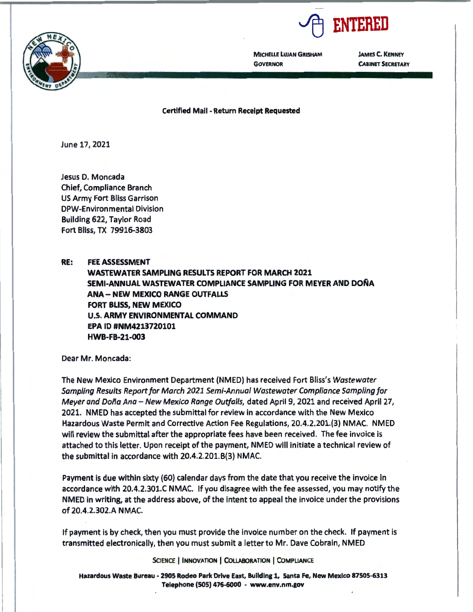

**MICHELLE LUJAN GRISHAM GOVERNOR** 

**JAMES C. KENNEY CABINET SECRETARY** 

**Certified Mail** - **Return Receipt Requested** 

June 17, 2021

Jesus D. Moncada Chief, Compliance Branch US Army Fort Bliss Garrison DPW-Environmental Division Building 622, Taylor Road Fort Bliss, TX 79916-3803

**RE: FEE ASSESSMENT WASTEWATER SAMPLING RESULTS REPORT FOR MARCH 2021 SEMI-ANNUAL WASTEWATER COMPLIANCE SAMPLING FOR MEYER AND DOÑA ANA- NEW MEXICO RANGE OUTFALLS FORT BLISS, NEW MEXICO U.S. ARMY ENVIRONMENTAL COMMAND EPA ID #NM4213720101 HWB-FB-21-003** 

Dear Mr. Moncada:

The New Mexico Environment Department (NMED) has received Fort Bliss's Wastewater Sampling Results Report for March 2021 Semi-Annual Wastewater Compliance Sampling for Meyer and Doña Ana - New Mexico Range Outfalls, dated April 9, 2021 and received April 27, 2021. NMED has accepted the submittal for review in accordance with the New Mexico Hazardous Waste Permit and Corrective Action Fee Regulations, 20.4.2.201.(3) NMAC. NMED will review the submittal after the appropriate fees have been received. The fee invoice is attached to this letter. Upon receipt of the payment, NMED will initiate a technical review of the submittal in accordance with 20.4.2.201.8(3) NMAC.

Payment is due within sixty (60} calendar days from the date that you receive the invoice in accordance with 20.4.2.301.C NMAC. If you disagree with the fee assessed, you may notify the NMED in writing, at the address above, of the intent to appeal the invoice under the provisions of 20.4.2.302.A **NMAC.** 

If payment is by check, then you must provide the invoice number on the check. If payment is transmitted electronically, then you must submit a letter to Mr. Dave Cobrain, NMED

SclENCE I **INNOVATION** I **COLLABORATION** I COMPLIANCE

**Hazardous Waste Bureau** - **2905 Rodeo Park Drive East, Building 1, Santa Fe, New Mexico 87505-6313 Telephone (505) 476-6000** - **www.env.nm.gov** 

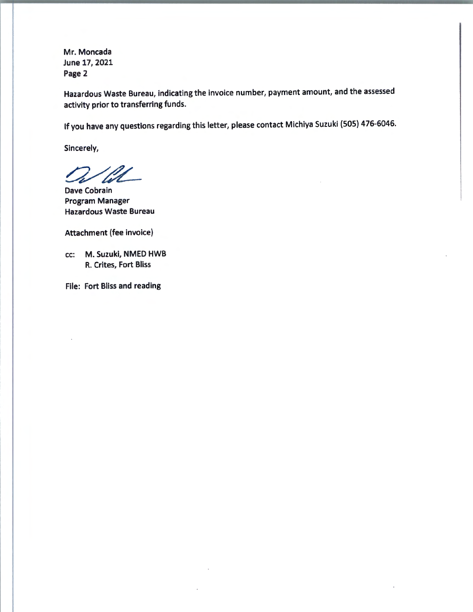Mr. Moncada June 17, 2021 **Page** 2

Hazardous Waste Bureau, indicating the invoice number, payment amount, and the assessed activity prior to transferring funds.

If you have any questions regarding this letter, please contact Michiya Suzuki (SOS) 476-6046.

Sincerely,

Dave Cobrain Program Manager Hazardous Waste Bureau

Attachment (fee invoice)

cc: M. Suzuki, NMED HWB R. Crites, Fort Bliss

File: Fort Bliss and reading